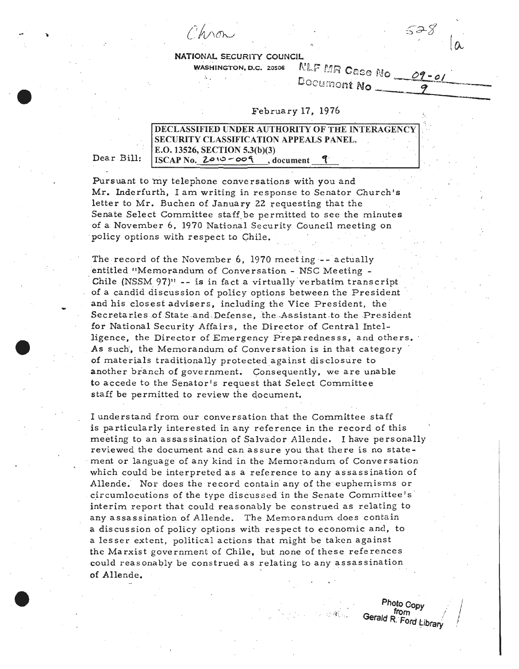Chroni

 $\mathcal{S}_{\mathcal{A}}$ 



## WASHINGTON, D.C. 20506

NATIONAL SECURITY COUNCIL<br>WASHINGTON, D.C. 20506 NLF MR Case No 09-01

Documont No

## February 17, 1976 *:::*

| DECLASSIFIED UNDER AUTHORITY OF THE INTERAGENCY      |  |  |
|------------------------------------------------------|--|--|
| <b>SECURITY CLASSIFICATION APPEALS PANEL,</b>        |  |  |
| E.O. 13526, SECTION 5.3(b)(3)                        |  |  |
| $\overline{\text{ISCAP No.}}$ 2010-009<br>. document |  |  |

Dear Bill:

-e

Pursuant to my telephone conversations with you and Mr. Inderfurth, I am writing in response to Senator Church's letter to Mr. Buchen of January 22 requesting that the Senate Select Committee staff be permitted to see the minutes of a November 6, 1970 National Security Council meeting on policy options with respect to Chile.

The record of the November 6, 1970 meeting -- actually entitled "Memorandum of Conversation - NSC Meeting -Chile (NSSM  $97$ )" -- is in fact a virtually verbatim transcript of a candid discussion of policy options between the President and his closest advisers, including the Vice President, the Secretaries of State and Defense, the Assistant to the President for National Security Affairs, the Director of Central Intelligence, the Director of Emergency Preparednesss, and others. As such', the Memorandum of Conversation is in that category of materials traditionally protectedagainst disclosure to another branch of government. Consequently, we are unable to accede to the Senator's request that Select Committee staff be permitted to review the document.

I understand from our conversation that the Committee staff is particularly interested in any reference in the record of this meeting to an assassination of Salvador Allende. I have personally reviewed the document and can assure you that there is no state-. ment or language of any kind in the Memorandum of Conversation which could be interpreted as a reference to any assassination of Allende. Nor does the record contain any of the euphemisms or circumlocutions of the type discussed in the Senate Committee's interim report that could reasonably be construed as relating to any assassination of Allende. The Memorandum does contain a discussion of policy options with respect to economic and, to a lesser extent, political actions that might be taken against the Marxist government of Chile, but none of these references could reasonably be construed as relating to any assassination of Allende.

e Photo Copy Reproduction of the Copy of the Copy of the Copy of the Copy of the Copy of the Copy of the Copy of the Copy of the Copy of the Copy of the Copy of the Copy of the Copy of the Copy of the Copy of the Copy of t Gerald R. Ford Library

!